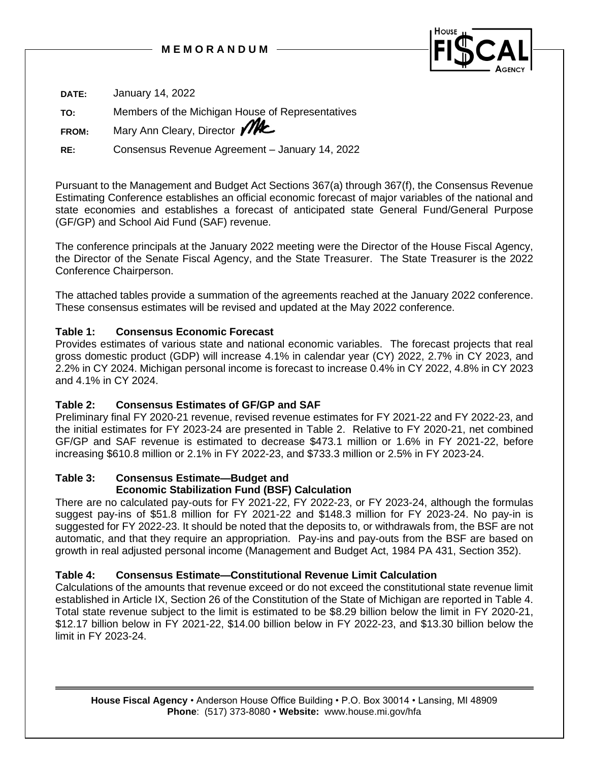

**DATE:** January 14, 2022

**TO:** Members of the Michigan House of Representatives

**FROM:** Mary Ann Cleary, Director **MAC** 

**RE:** Consensus Revenue Agreement – January 14, 2022

Pursuant to the Management and Budget Act Sections 367(a) through 367(f), the Consensus Revenue Estimating Conference establishes an official economic forecast of major variables of the national and state economies and establishes a forecast of anticipated state General Fund/General Purpose (GF/GP) and School Aid Fund (SAF) revenue.

The conference principals at the January 2022 meeting were the Director of the House Fiscal Agency, the Director of the Senate Fiscal Agency, and the State Treasurer. The State Treasurer is the 2022 Conference Chairperson.

The attached tables provide a summation of the agreements reached at the January 2022 conference. These consensus estimates will be revised and updated at the May 2022 conference.

# **Table 1: Consensus Economic Forecast**

Provides estimates of various state and national economic variables. The forecast projects that real gross domestic product (GDP) will increase 4.1% in calendar year (CY) 2022, 2.7% in CY 2023, and 2.2% in CY 2024. Michigan personal income is forecast to increase 0.4% in CY 2022, 4.8% in CY 2023 and 4.1% in CY 2024.

# **Table 2: Consensus Estimates of GF/GP and SAF**

Preliminary final FY 2020-21 revenue, revised revenue estimates for FY 2021-22 and FY 2022-23, and the initial estimates for FY 2023-24 are presented in Table 2. Relative to FY 2020-21, net combined GF/GP and SAF revenue is estimated to decrease \$473.1 million or 1.6% in FY 2021-22, before increasing \$610.8 million or 2.1% in FY 2022-23, and \$733.3 million or 2.5% in FY 2023-24.

## **Table 3: Consensus Estimate—Budget and Economic Stabilization Fund (BSF) Calculation**

There are no calculated pay-outs for FY 2021-22, FY 2022-23, or FY 2023-24, although the formulas suggest pay-ins of \$51.8 million for FY 2021-22 and \$148.3 million for FY 2023-24. No pay-in is suggested for FY 2022-23. It should be noted that the deposits to, or withdrawals from, the BSF are not automatic, and that they require an appropriation. Pay-ins and pay-outs from the BSF are based on growth in real adjusted personal income (Management and Budget Act, 1984 PA 431, Section 352).

# **Table 4: Consensus Estimate—Constitutional Revenue Limit Calculation**

Calculations of the amounts that revenue exceed or do not exceed the constitutional state revenue limit established in Article IX, Section 26 of the Constitution of the State of Michigan are reported in Table 4. Total state revenue subject to the limit is estimated to be \$8.29 billion below the limit in FY 2020-21, \$12.17 billion below in FY 2021-22, \$14.00 billion below in FY 2022-23, and \$13.30 billion below the limit in FY 2023-24.

**House Fiscal Agency** • Anderson House Office Building • P.O. Box 30014 • Lansing, MI 48909 **Phone**: (517) 373-8080 • **Website:** www.house.mi.gov/hfa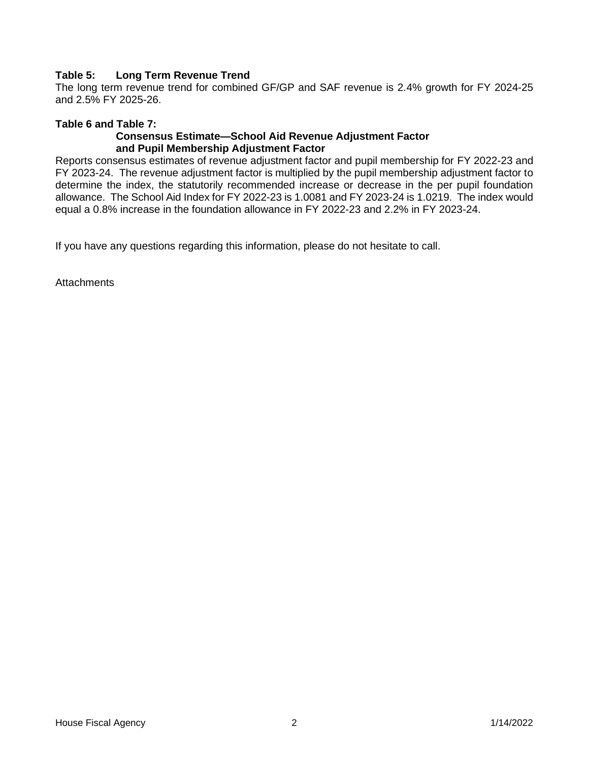# **Table 5: Long Term Revenue Trend**

The long term revenue trend for combined GF/GP and SAF revenue is 2.4% growth for FY 2024-25 and 2.5% FY 2025-26.

## **Table 6 and Table 7:**

## **Consensus Estimate—School Aid Revenue Adjustment Factor and Pupil Membership Adjustment Factor**

Reports consensus estimates of revenue adjustment factor and pupil membership for FY 2022-23 and FY 2023-24. The revenue adjustment factor is multiplied by the pupil membership adjustment factor to determine the index, the statutorily recommended increase or decrease in the per pupil foundation allowance. The School Aid Index for FY 2022-23 is 1.0081 and FY 2023-24 is 1.0219. The index would equal a 0.8% increase in the foundation allowance in FY 2022-23 and 2.2% in FY 2023-24.

If you have any questions regarding this information, please do not hesitate to call.

**Attachments**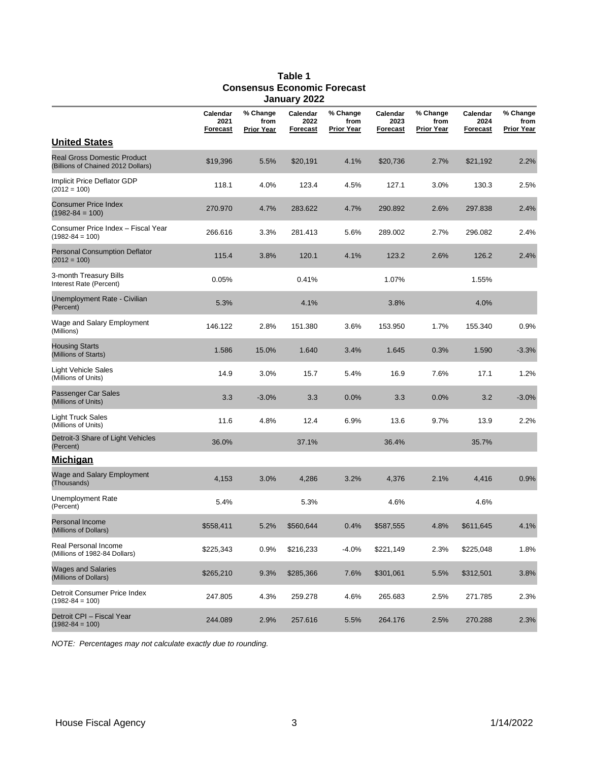|                                                                          |                                     |                                | vanuar y<br>LVLL                    |                                        |                                     |                                       |                                     |                                        |
|--------------------------------------------------------------------------|-------------------------------------|--------------------------------|-------------------------------------|----------------------------------------|-------------------------------------|---------------------------------------|-------------------------------------|----------------------------------------|
|                                                                          | Calendar<br>2021<br><b>Forecast</b> | % Change<br>from<br>Prior Year | Calendar<br>2022<br><b>Forecast</b> | % Change<br>from<br><u> Prior Year</u> | Calendar<br>2023<br><b>Forecast</b> | % Change<br>from<br><b>Prior Year</b> | Calendar<br>2024<br><b>Forecast</b> | % Change<br>from<br><u> Prior Year</u> |
| <b>United States</b>                                                     |                                     |                                |                                     |                                        |                                     |                                       |                                     |                                        |
| <b>Real Gross Domestic Product</b><br>(Billions of Chained 2012 Dollars) | \$19,396                            | 5.5%                           | \$20,191                            | 4.1%                                   | \$20,736                            | 2.7%                                  | \$21,192                            | 2.2%                                   |
| Implicit Price Deflator GDP<br>$(2012 = 100)$                            | 118.1                               | 4.0%                           | 123.4                               | 4.5%                                   | 127.1                               | 3.0%                                  | 130.3                               | 2.5%                                   |
| <b>Consumer Price Index</b><br>$(1982 - 84 = 100)$                       | 270.970                             | 4.7%                           | 283.622                             | 4.7%                                   | 290.892                             | 2.6%                                  | 297.838                             | 2.4%                                   |
| Consumer Price Index - Fiscal Year<br>$(1982 - 84 = 100)$                | 266.616                             | 3.3%                           | 281.413                             | 5.6%                                   | 289.002                             | 2.7%                                  | 296.082                             | 2.4%                                   |
| <b>Personal Consumption Deflator</b><br>$(2012 = 100)$                   | 115.4                               | 3.8%                           | 120.1                               | 4.1%                                   | 123.2                               | 2.6%                                  | 126.2                               | 2.4%                                   |
| 3-month Treasury Bills<br>Interest Rate (Percent)                        | 0.05%                               |                                | 0.41%                               |                                        | 1.07%                               |                                       | 1.55%                               |                                        |
| Unemployment Rate - Civilian<br>(Percent)                                | 5.3%                                |                                | 4.1%                                |                                        | 3.8%                                |                                       | 4.0%                                |                                        |
| Wage and Salary Employment<br>(Millions)                                 | 146.122                             | 2.8%                           | 151.380                             | 3.6%                                   | 153.950                             | 1.7%                                  | 155.340                             | 0.9%                                   |
| <b>Housing Starts</b><br>(Millions of Starts)                            | 1.586                               | 15.0%                          | 1.640                               | 3.4%                                   | 1.645                               | 0.3%                                  | 1.590                               | $-3.3%$                                |
| Light Vehicle Sales<br>(Millions of Units)                               | 14.9                                | 3.0%                           | 15.7                                | 5.4%                                   | 16.9                                | 7.6%                                  | 17.1                                | 1.2%                                   |
| Passenger Car Sales<br>(Millions of Units)                               | 3.3                                 | $-3.0%$                        | 3.3                                 | 0.0%                                   | 3.3                                 | 0.0%                                  | 3.2                                 | $-3.0%$                                |
| <b>Light Truck Sales</b><br>(Millions of Units)                          | 11.6                                | 4.8%                           | 12.4                                | 6.9%                                   | 13.6                                | 9.7%                                  | 13.9                                | 2.2%                                   |
| Detroit-3 Share of Light Vehicles<br>(Percent)                           | 36.0%                               |                                | 37.1%                               |                                        | 36.4%                               |                                       | 35.7%                               |                                        |
| <b>Michigan</b>                                                          |                                     |                                |                                     |                                        |                                     |                                       |                                     |                                        |
| Wage and Salary Employment<br>(Thousands)                                | 4,153                               | 3.0%                           | 4,286                               | 3.2%                                   | 4,376                               | 2.1%                                  | 4,416                               | 0.9%                                   |
| <b>Unemployment Rate</b><br>(Percent)                                    | 5.4%                                |                                | 5.3%                                |                                        | 4.6%                                |                                       | 4.6%                                |                                        |
| <b>Personal Income</b><br>(Millions of Dollars)                          | \$558,411                           | 5.2%                           | \$560,644                           | 0.4%                                   | \$587,555                           | 4.8%                                  | \$611,645                           | 4.1%                                   |
| Real Personal Income<br>(Millions of 1982-84 Dollars)                    | \$225,343                           | 0.9%                           | \$216,233                           | $-4.0%$                                | \$221,149                           | 2.3%                                  | \$225,048                           | 1.8%                                   |
| <b>Wages and Salaries</b><br>(Millions of Dollars)                       | \$265,210                           | 9.3%                           | \$285,366                           | 7.6%                                   | \$301,061                           | 5.5%                                  | \$312,501                           | 3.8%                                   |
| Detroit Consumer Price Index<br>$(1982 - 84 = 100)$                      | 247.805                             | 4.3%                           | 259.278                             | 4.6%                                   | 265.683                             | 2.5%                                  | 271.785                             | 2.3%                                   |
| Detroit CPI - Fiscal Year<br>$(1982 - 84 = 100)$                         | 244.089                             | 2.9%                           | 257.616                             | 5.5%                                   | 264.176                             | 2.5%                                  | 270.288                             | 2.3%                                   |

## **Table 1 Consensus Economic Forecast January 2022**

*NOTE: Percentages may not calculate exactly due to rounding.*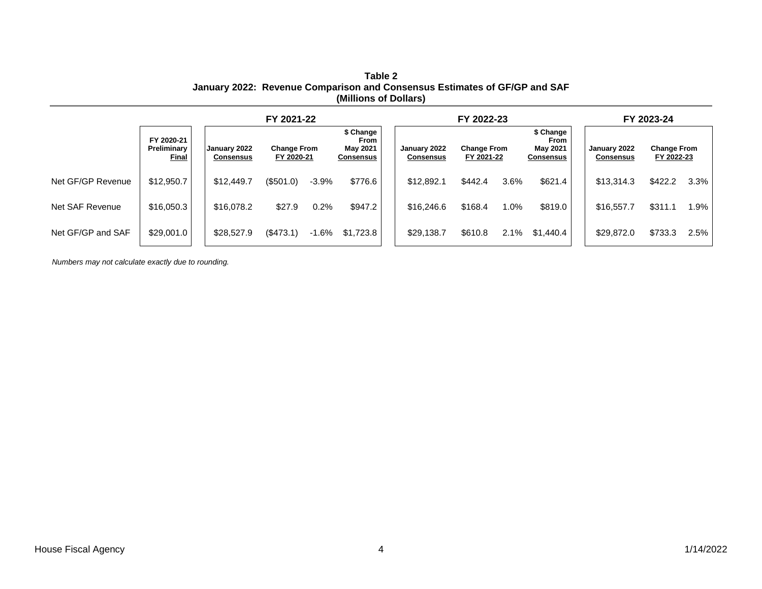|                   |                                           | FY 2021-22 |                                  |                                  | FY 2022-23 |                                                   |                                  |                                  |         | FY 2023-24                                        |  |                                  |                                  |      |
|-------------------|-------------------------------------------|------------|----------------------------------|----------------------------------|------------|---------------------------------------------------|----------------------------------|----------------------------------|---------|---------------------------------------------------|--|----------------------------------|----------------------------------|------|
|                   | FY 2020-21<br>Preliminary<br><b>Final</b> |            | January 2022<br><b>Consensus</b> | <b>Change From</b><br>FY 2020-21 |            | \$ Change<br>From<br>May 2021<br><b>Consensus</b> | January 2022<br><b>Consensus</b> | <b>Change From</b><br>FY 2021-22 |         | \$ Change<br>From<br>May 2021<br><b>Consensus</b> |  | January 2022<br><b>Consensus</b> | <b>Change From</b><br>FY 2022-23 |      |
| Net GF/GP Revenue | \$12,950.7                                |            | \$12,449.7                       | (\$501.0)                        | $-3.9%$    | \$776.6                                           | \$12,892.1                       | \$442.4                          | 3.6%    | \$621.4                                           |  | \$13,314.3                       | \$422.2                          | 3.3% |
| Net SAF Revenue   | \$16,050.3                                |            | \$16,078.2                       | \$27.9                           | 0.2%       | \$947.2                                           | \$16,246.6                       | \$168.4                          | $1.0\%$ | \$819.0                                           |  | \$16,557.7                       | \$311.1                          | 1.9% |
| Net GF/GP and SAF | \$29,001.0                                |            | \$28,527.9                       | (\$473.1)                        | $-1.6%$    | \$1,723.8                                         | \$29,138.7                       | \$610.8                          | 2.1%    | \$1,440.4                                         |  | \$29,872.0                       | \$733.3                          | 2.5% |

**Table 2 January 2022: Revenue Comparison and Consensus Estimates of GF/GP and SAF (Millions of Dollars)**

*Numbers may not calculate exactly due to rounding.*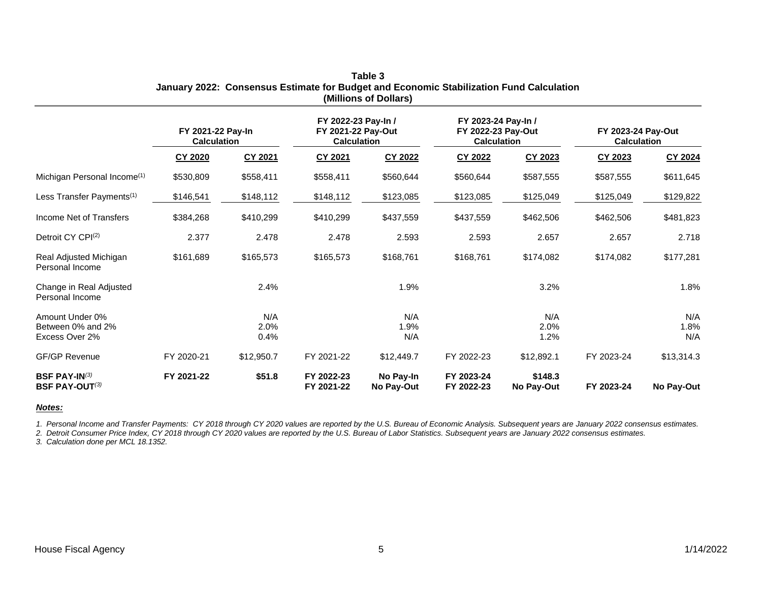|                                                        | FY 2021-22 Pay-In<br><b>Calculation</b> |                     | FY 2022-23 Pay-In /<br>FY 2021-22 Pay-Out<br><b>Calculation</b> |                         | FY 2023-24 Pay-In /<br>FY 2022-23 Pay-Out<br><b>Calculation</b> |                       | FY 2023-24 Pay-Out<br><b>Calculation</b> |                    |
|--------------------------------------------------------|-----------------------------------------|---------------------|-----------------------------------------------------------------|-------------------------|-----------------------------------------------------------------|-----------------------|------------------------------------------|--------------------|
|                                                        | CY 2020                                 | CY 2021             | CY 2021                                                         | CY 2022                 | CY 2022                                                         | CY 2023               | CY 2023                                  | CY 2024            |
| Michigan Personal Income <sup>(1)</sup>                | \$530,809                               | \$558,411           | \$558,411                                                       | \$560,644               | \$560,644                                                       | \$587,555             | \$587,555                                | \$611,645          |
| Less Transfer Payments <sup>(1)</sup>                  | \$146,541                               | \$148,112           | \$148,112                                                       | \$123,085               | \$123,085                                                       | \$125,049             | \$125,049                                | \$129,822          |
| Income Net of Transfers                                | \$384,268                               | \$410,299           | \$410,299                                                       | \$437,559               | \$437,559                                                       | \$462,506             | \$462,506                                | \$481,823          |
| Detroit CY CPI <sup>(2)</sup>                          | 2.377                                   | 2.478               | 2.478                                                           | 2.593                   | 2.593                                                           | 2.657                 | 2.657                                    | 2.718              |
| Real Adjusted Michigan<br>Personal Income              | \$161,689                               | \$165,573           | \$165,573                                                       | \$168,761               | \$168,761                                                       | \$174,082             | \$174,082                                | \$177,281          |
| Change in Real Adjusted<br>Personal Income             |                                         | 2.4%                |                                                                 | 1.9%                    |                                                                 | 3.2%                  |                                          | 1.8%               |
| Amount Under 0%<br>Between 0% and 2%<br>Excess Over 2% |                                         | N/A<br>2.0%<br>0.4% |                                                                 | N/A<br>1.9%<br>N/A      |                                                                 | N/A<br>2.0%<br>1.2%   |                                          | N/A<br>1.8%<br>N/A |
| <b>GF/GP Revenue</b>                                   | FY 2020-21                              | \$12,950.7          | FY 2021-22                                                      | \$12,449.7              | FY 2022-23                                                      | \$12,892.1            | FY 2023-24                               | \$13,314.3         |
| <b>BSF PAY-IN(3)</b><br><b>BSF PAY-OUT(3)</b>          | FY 2021-22                              | \$51.8              | FY 2022-23<br>FY 2021-22                                        | No Pay-In<br>No Pay-Out | FY 2023-24<br>FY 2022-23                                        | \$148.3<br>No Pay-Out | FY 2023-24                               | No Pay-Out         |

| Table 3                                                                                 |
|-----------------------------------------------------------------------------------------|
| January 2022: Consensus Estimate for Budget and Economic Stabilization Fund Calculation |
| (Millions of Dollars)                                                                   |

#### *Notes:*

*1. Personal Income and Transfer Payments: CY 2018 through CY 2020 values are reported by the U.S. Bureau of Economic Analysis. Subsequent years are January 2022 consensus estimates.*

*2. Detroit Consumer Price Index, CY 2018 through CY 2020 values are reported by the U.S. Bureau of Labor Statistics. Subsequent years are January 2022 consensus estimates.*

*3. Calculation done per MCL 18.1352.*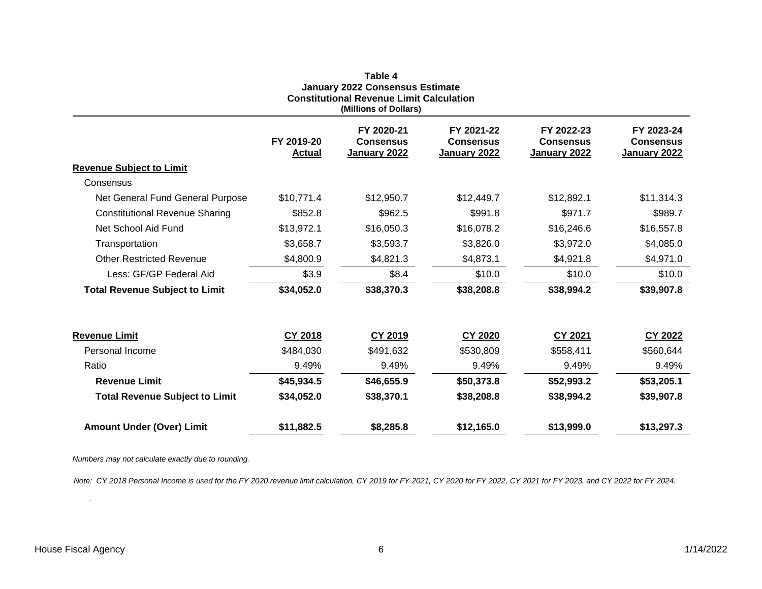| <b>January 2022 Consensus Estimate</b><br><b>Constitutional Revenue Limit Calculation</b><br>(Millions of Dollars) |                             |                                                |                                                |                                                |                                                |  |  |  |  |
|--------------------------------------------------------------------------------------------------------------------|-----------------------------|------------------------------------------------|------------------------------------------------|------------------------------------------------|------------------------------------------------|--|--|--|--|
|                                                                                                                    | FY 2019-20<br><b>Actual</b> | FY 2020-21<br><b>Consensus</b><br>January 2022 | FY 2021-22<br><b>Consensus</b><br>January 2022 | FY 2022-23<br><b>Consensus</b><br>January 2022 | FY 2023-24<br><b>Consensus</b><br>January 2022 |  |  |  |  |
| <b>Revenue Subject to Limit</b>                                                                                    |                             |                                                |                                                |                                                |                                                |  |  |  |  |
| Consensus                                                                                                          |                             |                                                |                                                |                                                |                                                |  |  |  |  |
| Net General Fund General Purpose                                                                                   | \$10,771.4                  | \$12,950.7                                     | \$12,449.7                                     | \$12,892.1                                     | \$11,314.3                                     |  |  |  |  |
| <b>Constitutional Revenue Sharing</b>                                                                              | \$852.8                     | \$962.5                                        | \$991.8                                        | \$971.7                                        | \$989.7                                        |  |  |  |  |
| Net School Aid Fund                                                                                                | \$13,972.1                  | \$16,050.3                                     | \$16,078.2                                     | \$16,246.6                                     | \$16,557.8                                     |  |  |  |  |
| Transportation                                                                                                     | \$3,658.7                   | \$3,593.7                                      | \$3,826.0                                      | \$3,972.0                                      | \$4,085.0                                      |  |  |  |  |
| Other Restricted Revenue                                                                                           | \$4,800.9                   | \$4,821.3                                      | \$4,873.1                                      | \$4,921.8                                      | \$4,971.0                                      |  |  |  |  |
| Less: GF/GP Federal Aid                                                                                            | \$3.9                       | \$8.4                                          | \$10.0                                         | \$10.0                                         | \$10.0                                         |  |  |  |  |
| <b>Total Revenue Subject to Limit</b>                                                                              | \$34,052.0                  | \$38,370.3                                     | \$38,208.8                                     | \$38,994.2                                     | \$39,907.8                                     |  |  |  |  |
| <b>Revenue Limit</b>                                                                                               | <b>CY 2018</b>              | CY 2019                                        | CY 2020                                        | CY 2021                                        | CY 2022                                        |  |  |  |  |
| Personal Income                                                                                                    | \$484,030                   | \$491,632                                      | \$530,809                                      | \$558,411                                      | \$560,644                                      |  |  |  |  |
| Ratio                                                                                                              | 9.49%                       | 9.49%                                          | 9.49%                                          | 9.49%                                          | 9.49%                                          |  |  |  |  |
| <b>Revenue Limit</b>                                                                                               | \$45,934.5                  | \$46,655.9                                     | \$50,373.8                                     | \$52,993.2                                     | \$53,205.1                                     |  |  |  |  |
| <b>Total Revenue Subject to Limit</b>                                                                              | \$34,052.0                  | \$38,370.1                                     | \$38,208.8                                     | \$38,994.2                                     | \$39,907.8                                     |  |  |  |  |
| <b>Amount Under (Over) Limit</b>                                                                                   | \$11,882.5                  | \$8,285.8                                      | \$12,165.0                                     | \$13,999.0                                     | \$13,297.3                                     |  |  |  |  |

**Table 4**

*Numbers may not calculate exactly due to rounding.*

*Note: CY 2018 Personal Income is used for the FY 2020 revenue limit calculation, CY 2019 for FY 2021, CY 2020 for FY 2022, CY 2021 for FY 2023, and CY 2022 for FY 2024.*

*.*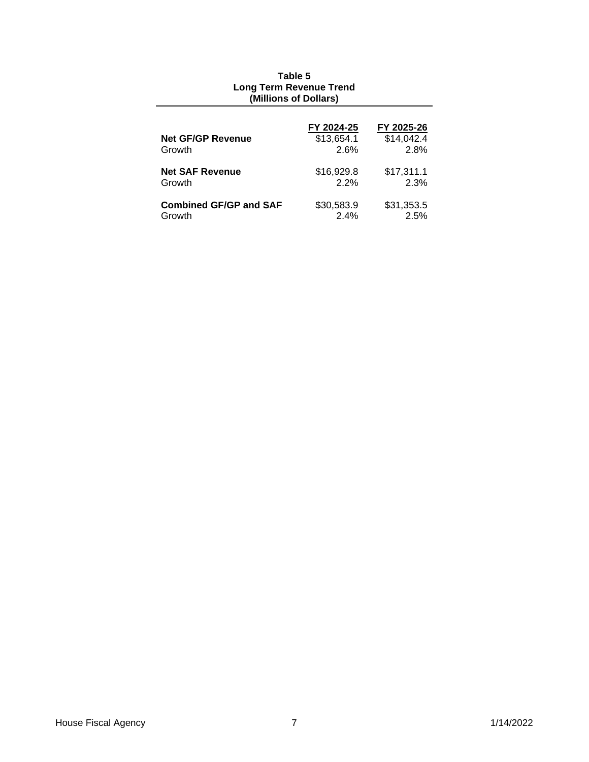| <b>Net GF/GP Revenue</b><br>Growth | FY 2024-25<br>\$13,654.1<br>2.6% | FY 2025-26<br>\$14,042.4<br>2.8% |
|------------------------------------|----------------------------------|----------------------------------|
| <b>Net SAF Revenue</b>             | \$16,929.8                       | \$17,311.1                       |
| Growth                             | 2.2%                             | 2.3%                             |
| <b>Combined GF/GP and SAF</b>      | \$30,583.9                       | \$31,353.5                       |
| Growth                             | 2.4%                             | 2.5%                             |

## **Table 5 Long Term Revenue Trend (Millions of Dollars)**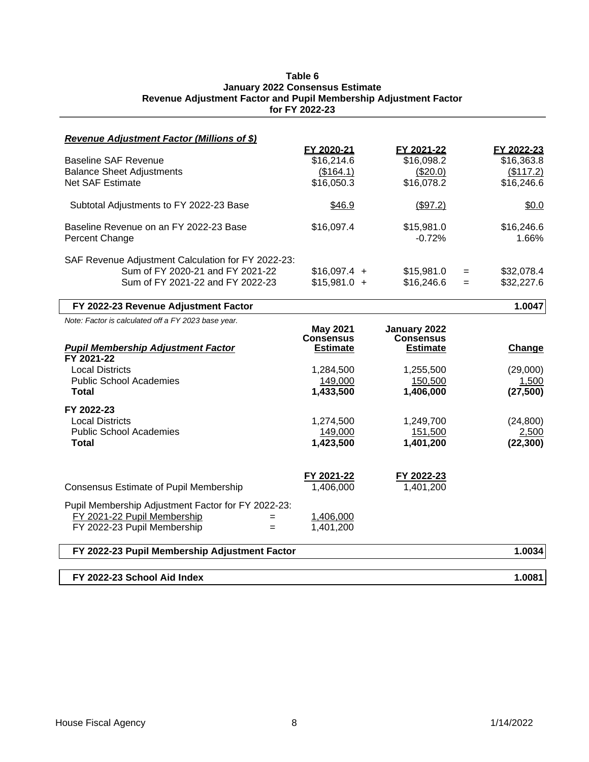#### **Table 6 January 2022 Consensus Estimate Revenue Adjustment Factor and Pupil Membership Adjustment Factor for FY 2022-23**

| <b>Revenue Adjustment Factor (Millions of \$)</b>                                                                              |                                                        |                                                     |            |                                                     |
|--------------------------------------------------------------------------------------------------------------------------------|--------------------------------------------------------|-----------------------------------------------------|------------|-----------------------------------------------------|
| <b>Baseline SAF Revenue</b><br><b>Balance Sheet Adjustments</b><br><b>Net SAF Estimate</b>                                     | FY 2020-21<br>\$16,214.6<br>(\$164.1)<br>\$16,050.3    | FY 2021-22<br>\$16,098.2<br>(\$20.0)<br>\$16,078.2  |            | FY 2022-23<br>\$16,363.8<br>(\$117.2)<br>\$16,246.6 |
| Subtotal Adjustments to FY 2022-23 Base                                                                                        | \$46.9                                                 | (\$97.2)                                            |            | \$0.0                                               |
| Baseline Revenue on an FY 2022-23 Base<br>Percent Change                                                                       | \$16,097.4                                             | \$15,981.0<br>$-0.72%$                              |            | \$16,246.6<br>1.66%                                 |
| SAF Revenue Adjustment Calculation for FY 2022-23:<br>Sum of FY 2020-21 and FY 2021-22<br>Sum of FY 2021-22 and FY 2022-23     | $$16,097.4 +$<br>$$15,981.0 +$                         | \$15,981.0<br>\$16,246.6                            | $=$<br>$=$ | \$32,078.4<br>\$32,227.6                            |
| FY 2022-23 Revenue Adjustment Factor                                                                                           |                                                        |                                                     |            | 1.0047                                              |
| Note: Factor is calculated off a FY 2023 base year.<br><b>Pupil Membership Adjustment Factor</b><br>FY 2021-22                 | <b>May 2021</b><br><b>Consensus</b><br><b>Estimate</b> | January 2022<br><b>Consensus</b><br><b>Estimate</b> |            | Change                                              |
| <b>Local Districts</b><br><b>Public School Academies</b><br>Total                                                              | 1,284,500<br>149,000<br>1,433,500                      | 1,255,500<br>150,500<br>1,406,000                   |            | (29,000)<br>1,500<br>(27, 500)                      |
| FY 2022-23<br><b>Local Districts</b><br><b>Public School Academies</b><br><b>Total</b>                                         | 1,274,500<br>149,000<br>1,423,500                      | 1,249,700<br>151,500<br>1,401,200                   |            | (24, 800)<br>2,500<br>(22, 300)                     |
| Consensus Estimate of Pupil Membership                                                                                         | FY 2021-22<br>1,406,000                                | FY 2022-23<br>1,401,200                             |            |                                                     |
| Pupil Membership Adjustment Factor for FY 2022-23:<br>FY 2021-22 Pupil Membership<br>$=$<br>FY 2022-23 Pupil Membership<br>$=$ | 1,406,000<br>1,401,200                                 |                                                     |            |                                                     |
| FY 2022-23 Pupil Membership Adjustment Factor                                                                                  |                                                        |                                                     |            | 1.0034                                              |
|                                                                                                                                |                                                        |                                                     |            |                                                     |
| FY 2022-23 School Aid Index                                                                                                    |                                                        |                                                     |            | 1.0081                                              |